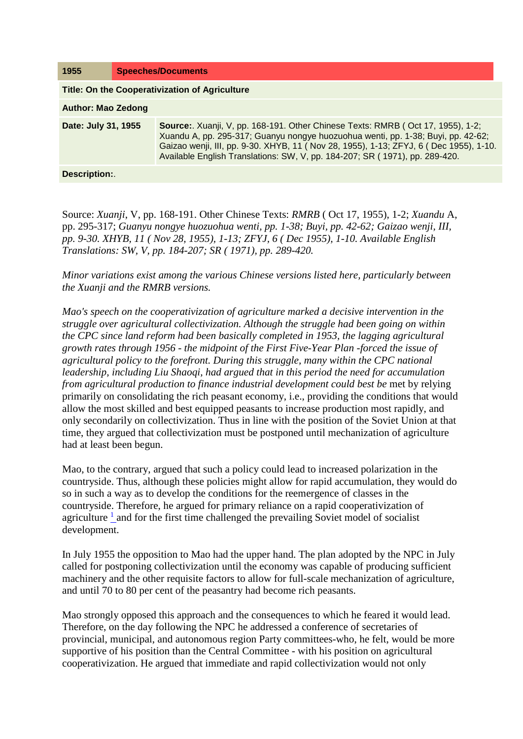| 1955                                                  |  | <b>Speeches/Documents</b>                                                                                                                                                                                                                                                                                                                   |
|-------------------------------------------------------|--|---------------------------------------------------------------------------------------------------------------------------------------------------------------------------------------------------------------------------------------------------------------------------------------------------------------------------------------------|
| <b>Title: On the Cooperativization of Agriculture</b> |  |                                                                                                                                                                                                                                                                                                                                             |
| <b>Author: Mao Zedong</b>                             |  |                                                                                                                                                                                                                                                                                                                                             |
| Date: July 31, 1955                                   |  | Source:. Xuanji, V, pp. 168-191. Other Chinese Texts: RMRB (Oct 17, 1955), 1-2;<br>Xuandu A, pp. 295-317; Guanyu nongye huozuohua wenti, pp. 1-38; Buyi, pp. 42-62;<br>Gaizao wenji, III, pp. 9-30. XHYB, 11 (Nov 28, 1955), 1-13; ZFYJ, 6 (Dec 1955), 1-10.<br>Available English Translations: SW, V, pp. 184-207; SR (1971), pp. 289-420. |
| Description:                                          |  |                                                                                                                                                                                                                                                                                                                                             |

Source: *Xuanji*, V, pp. 168-191. Other Chinese Texts: *RMRB* ( Oct 17, 1955), 1-2; *Xuandu* A, pp. 295-317; *Guanyu nongye huozuohua wenti, pp. 1-38; Buyi, pp. 42-62; Gaizao wenji, III, pp. 9-30. XHYB, 11 ( Nov 28, 1955), 1-13; ZFYJ, 6 ( Dec 1955), 1-10. Available English Translations: SW, V, pp. 184-207; SR ( 1971), pp. 289-420.* 

*Minor variations exist among the various Chinese versions listed here, particularly between the Xuanji and the RMRB versions.* 

*Mao's speech on the cooperativization of agriculture marked a decisive intervention in the struggle over agricultural collectivization. Although the struggle had been going on within the CPC since land reform had been basically completed in 1953, the lagging agricultural growth rates through 1956 - the midpoint of the First Five-Year Plan -forced the issue of agricultural policy to the forefront. During this struggle, many within the CPC national leadership, including Liu Shaoqi, had argued that in this period the need for accumulation from agricultural production to finance industrial development could best be met by relying* primarily on consolidating the rich peasant economy, i.e., providing the conditions that would allow the most skilled and best equipped peasants to increase production most rapidly, and only secondarily on collectivization. Thus in line with the position of the Soviet Union at that time, they argued that collectivization must be postponed until mechanization of agriculture had at least been begun.

Mao, to the contrary, argued that such a policy could lead to increased polarization in the countryside. Thus, although these policies might allow for rapid accumulation, they would do so in such a way as to develop the conditions for the reemergence of classes in the countryside. Therefore, he argued for primary reliance on a rapid cooperativization of agriculture  $<sup>1</sup>$  and for the first time challenged the prevailing Soviet model of socialist</sup> development.

In July 1955 the opposition to Mao had the upper hand. The plan adopted by the NPC in July called for postponing collectivization until the economy was capable of producing sufficient machinery and the other requisite factors to allow for full-scale mechanization of agriculture, and until 70 to 80 per cent of the peasantry had become rich peasants.

Mao strongly opposed this approach and the consequences to which he feared it would lead. Therefore, on the day following the NPC he addressed a conference of secretaries of provincial, municipal, and autonomous region Party committees-who, he felt, would be more supportive of his position than the Central Committee - with his position on agricultural cooperativization. He argued that immediate and rapid collectivization would not only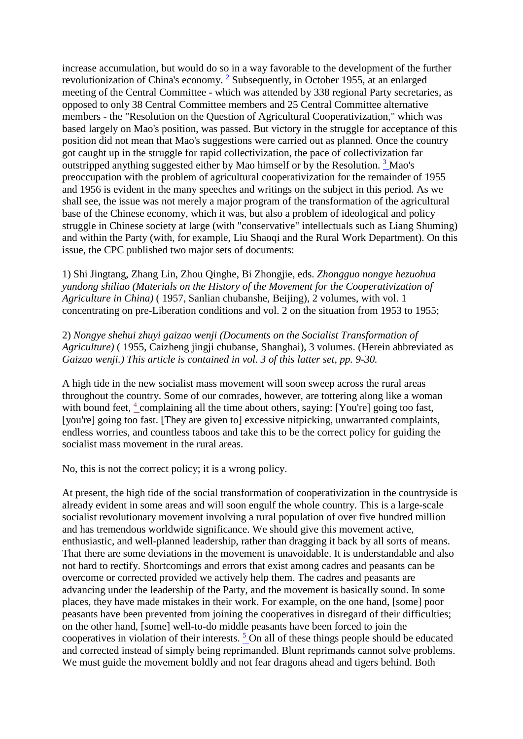increase accumulation, but would do so in a way favorable to the development of the further revolutionization of China's economy. [2](http://www.questia.com/PM.qst?a=o&d=99262067) Subsequently, in October 1955, at an enlarged meeting of the Central Committee - which was attended by 338 regional Party secretaries, as opposed to only 38 Central Committee members and 25 Central Committee alternative members - the "Resolution on the Question of Agricultural Cooperativization," which was based largely on Mao's position, was passed. But victory in the struggle for acceptance of this position did not mean that Mao's suggestions were carried out as planned. Once the country got caught up in the struggle for rapid collectivization, the pace of collectivization far outstripped anything suggested either by Mao himself or by the Resolution. [3](http://www.questia.com/PM.qst?a=o&d=99262067) Mao's preoccupation with the problem of agricultural cooperativization for the remainder of 1955 and 1956 is evident in the many speeches and writings on the subject in this period. As we shall see, the issue was not merely a major program of the transformation of the agricultural base of the Chinese economy, which it was, but also a problem of ideological and policy struggle in Chinese society at large (with "conservative" intellectuals such as Liang Shuming) and within the Party (with, for example, Liu Shaoqi and the Rural Work Department). On this issue, the CPC published two major sets of documents:

1) Shi Jingtang, Zhang Lin, Zhou Qinghe, Bi Zhongjie, eds. *Zhongguo nongye hezuohua yundong shiliao (Materials on the History of the Movement for the Cooperativization of Agriculture in China)* ( 1957, Sanlian chubanshe, Beijing), 2 volumes, with vol. 1 concentrating on pre-Liberation conditions and vol. 2 on the situation from 1953 to 1955;

2) *Nongye shehui zhuyi gaizao wenji (Documents on the Socialist Transformation of Agriculture)* ( 1955, Caizheng jingji chubanse, Shanghai), 3 volumes. (Herein abbreviated as *Gaizao wenji.) This article is contained in vol. 3 of this latter set, pp. 9-30.* 

A high tide in the new socialist mass movement will soon sweep across the rural areas throughout the country. Some of our comrades, however, are tottering along like a woman with bound feet,  $4$  complaining all the time about others, saying: [You're] going too fast, [you're] going too fast. [They are given to] excessive nitpicking, unwarranted complaints, endless worries, and countless taboos and take this to be the correct policy for guiding the socialist mass movement in the rural areas.

No, this is not the correct policy; it is a wrong policy.

At present, the high tide of the social transformation of cooperativization in the countryside is already evident in some areas and will soon engulf the whole country. This is a large-scale socialist revolutionary movement involving a rural population of over five hundred million and has tremendous worldwide significance. We should give this movement active, enthusiastic, and well-planned leadership, rather than dragging it back by all sorts of means. That there are some deviations in the movement is unavoidable. It is understandable and also not hard to rectify. Shortcomings and errors that exist among cadres and peasants can be overcome or corrected provided we actively help them. The cadres and peasants are advancing under the leadership of the Party, and the movement is basically sound. In some places, they have made mistakes in their work. For example, on the one hand, [some] poor peasants have been prevented from joining the cooperatives in disregard of their difficulties; on the other hand, [some] well-to-do middle peasants have been forced to join the cooperatives in violation of their interests.  $5 \text{ On all of these things people should be educated}$ and corrected instead of simply being reprimanded. Blunt reprimands cannot solve problems. We must guide the movement boldly and not fear dragons ahead and tigers behind. Both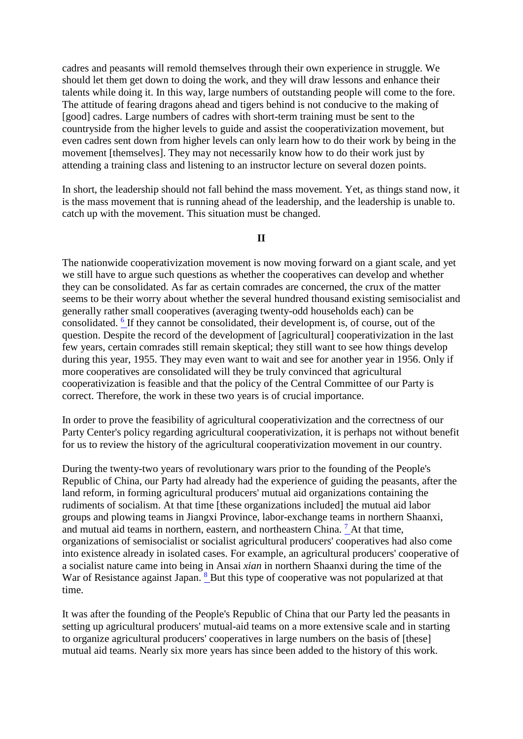cadres and peasants will remold themselves through their own experience in struggle. We should let them get down to doing the work, and they will draw lessons and enhance their talents while doing it. In this way, large numbers of outstanding people will come to the fore. The attitude of fearing dragons ahead and tigers behind is not conducive to the making of [good] cadres. Large numbers of cadres with short-term training must be sent to the countryside from the higher levels to guide and assist the cooperativization movement, but even cadres sent down from higher levels can only learn how to do their work by being in the movement [themselves]. They may not necessarily know how to do their work just by attending a training class and listening to an instructor lecture on several dozen points.

In short, the leadership should not fall behind the mass movement. Yet, as things stand now, it is the mass movement that is running ahead of the leadership, and the leadership is unable to. catch up with the movement. This situation must be changed.

## **II**

The nationwide cooperativization movement is now moving forward on a giant scale, and yet we still have to argue such questions as whether the cooperatives can develop and whether they can be consolidated. As far as certain comrades are concerned, the crux of the matter seems to be their worry about whether the several hundred thousand existing semisocialist and generally rather small cooperatives (averaging twenty-odd households each) can be consolidated. [6](http://www.questia.com/PM.qst?a=o&d=99262156) If they cannot be consolidated, their development is, of course, out of the question. Despite the record of the development of [agricultural] cooperativization in the last few years, certain comrades still remain skeptical; they still want to see how things develop during this year, 1955. They may even want to wait and see for another year in 1956. Only if more cooperatives are consolidated will they be truly convinced that agricultural cooperativization is feasible and that the policy of the Central Committee of our Party is correct. Therefore, the work in these two years is of crucial importance.

In order to prove the feasibility of agricultural cooperativization and the correctness of our Party Center's policy regarding agricultural cooperativization, it is perhaps not without benefit for us to review the history of the agricultural cooperativization movement in our country.

During the twenty-two years of revolutionary wars prior to the founding of the People's Republic of China, our Party had already had the experience of guiding the peasants, after the land reform, in forming agricultural producers' mutual aid organizations containing the rudiments of socialism. At that time [these organizations included] the mutual aid labor groups and plowing teams in Jiangxi Province, labor-exchange teams in northern Shaanxi, and mutual aid teams in northern, eastern, and northeastern China.  $^7$  At that time, organizations of semisocialist or socialist agricultural producers' cooperatives had also come into existence already in isolated cases. For example, an agricultural producers' cooperative of a socialist nature came into being in Ansai *xian* in northern Shaanxi during the time of the War of Resistance against Japan. <sup>[8](http://www.questia.com/PM.qst?a=o&d=99262162)</sup> But this type of cooperative was not popularized at that time.

It was after the founding of the People's Republic of China that our Party led the peasants in setting up agricultural producers' mutual-aid teams on a more extensive scale and in starting to organize agricultural producers' cooperatives in large numbers on the basis of [these] mutual aid teams. Nearly six more years has since been added to the history of this work.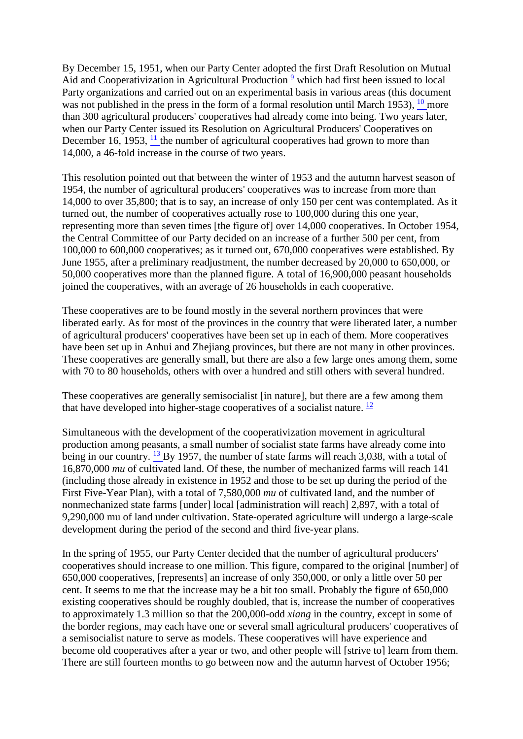By December 15, 1951, when our Party Center adopted the first Draft Resolution on Mutual Aid and Cooperativization in Agricultural Production<sup>9</sup> which had first been issued to local Party organizations and carried out on an experimental basis in various areas (this document was not published in the press in the form of a formal resolution until March 1953),  $10$  more than 300 agricultural producers' cooperatives had already come into being. Two years later, when our Party Center issued its Resolution on Agricultural Producers' Cooperatives on December 16, 1953,  $\frac{11}{11}$  the number of agricultural cooperatives had grown to more than 14,000, a 46-fold increase in the course of two years.

This resolution pointed out that between the winter of 1953 and the autumn harvest season of 1954, the number of agricultural producers' cooperatives was to increase from more than 14,000 to over 35,800; that is to say, an increase of only 150 per cent was contemplated. As it turned out, the number of cooperatives actually rose to 100,000 during this one year, representing more than seven times [the figure of] over 14,000 cooperatives. In October 1954, the Central Committee of our Party decided on an increase of a further 500 per cent, from 100,000 to 600,000 cooperatives; as it turned out, 670,000 cooperatives were established. By June 1955, after a preliminary readjustment, the number decreased by 20,000 to 650,000, or 50,000 cooperatives more than the planned figure. A total of 16,900,000 peasant households joined the cooperatives, with an average of 26 households in each cooperative.

These cooperatives are to be found mostly in the several northern provinces that were liberated early. As for most of the provinces in the country that were liberated later, a number of agricultural producers' cooperatives have been set up in each of them. More cooperatives have been set up in Anhui and Zhejiang provinces, but there are not many in other provinces. These cooperatives are generally small, but there are also a few large ones among them, some with 70 to 80 households, others with over a hundred and still others with several hundred.

These cooperatives are generally semisocialist [in nature], but there are a few among them that have developed into higher-stage cooperatives of a socialist nature.  $\frac{12}{12}$  $\frac{12}{12}$  $\frac{12}{12}$ 

Simultaneous with the development of the cooperativization movement in agricultural production among peasants, a small number of socialist state farms have already come into being in our country. <sup>[13](http://www.questia.com/PM.qst?a=o&d=99262234)</sup> By 1957, the number of state farms will reach 3,038, with a total of 16,870,000 *mu* of cultivated land. Of these, the number of mechanized farms will reach 141 (including those already in existence in 1952 and those to be set up during the period of the First Five-Year Plan), with a total of 7,580,000 *mu* of cultivated land, and the number of nonmechanized state farms [under] local [administration will reach] 2,897, with a total of 9,290,000 mu of land under cultivation. State-operated agriculture will undergo a large-scale development during the period of the second and third five-year plans.

In the spring of 1955, our Party Center decided that the number of agricultural producers' cooperatives should increase to one million. This figure, compared to the original [number] of 650,000 cooperatives, [represents] an increase of only 350,000, or only a little over 50 per cent. It seems to me that the increase may be a bit too small. Probably the figure of 650,000 existing cooperatives should be roughly doubled, that is, increase the number of cooperatives to approximately 1.3 million so that the 200,000-odd *xiang* in the country, except in some of the border regions, may each have one or several small agricultural producers' cooperatives of a semisocialist nature to serve as models. These cooperatives will have experience and become old cooperatives after a year or two, and other people will [strive to] learn from them. There are still fourteen months to go between now and the autumn harvest of October 1956;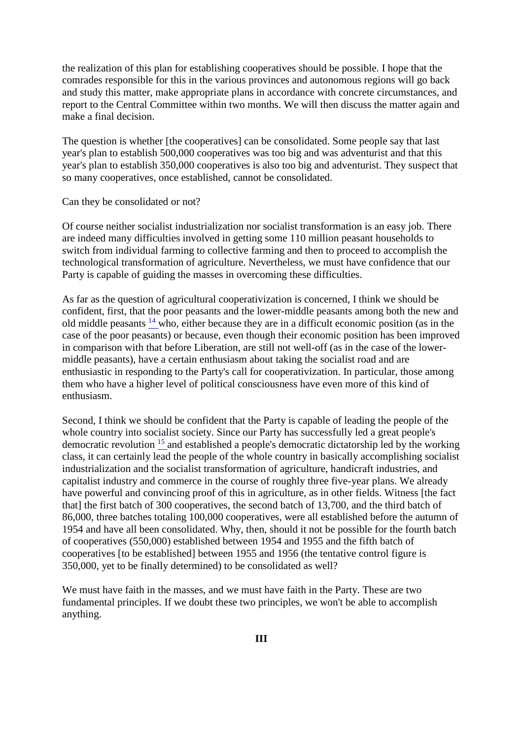the realization of this plan for establishing cooperatives should be possible. I hope that the comrades responsible for this in the various provinces and autonomous regions will go back and study this matter, make appropriate plans in accordance with concrete circumstances, and report to the Central Committee within two months. We will then discuss the matter again and make a final decision.

The question is whether [the cooperatives] can be consolidated. Some people say that last year's plan to establish 500,000 cooperatives was too big and was adventurist and that this year's plan to establish 350,000 cooperatives is also too big and adventurist. They suspect that so many cooperatives, once established, cannot be consolidated.

#### Can they be consolidated or not?

Of course neither socialist industrialization nor socialist transformation is an easy job. There are indeed many difficulties involved in getting some 110 million peasant households to switch from individual farming to collective farming and then to proceed to accomplish the technological transformation of agriculture. Nevertheless, we must have confidence that our Party is capable of guiding the masses in overcoming these difficulties.

As far as the question of agricultural cooperativization is concerned, I think we should be confident, first, that the poor peasants and the lower-middle peasants among both the new and old middle peasants [14](http://www.questia.com/PM.qst?a=o&d=99262234) who, either because they are in a difficult economic position (as in the case of the poor peasants) or because, even though their economic position has been improved in comparison with that before Liberation, are still not well-off (as in the case of the lowermiddle peasants), have a certain enthusiasm about taking the socialist road and are enthusiastic in responding to the Party's call for cooperativization. In particular, those among them who have a higher level of political consciousness have even more of this kind of enthusiasm.

Second, I think we should be confident that the Party is capable of leading the people of the whole country into socialist society. Since our Party has successfully led a great people's democratic revolution [15](http://www.questia.com/PM.qst?a=o&d=99262255) and established a people's democratic dictatorship led by the working class, it can certainly lead the people of the whole country in basically accomplishing socialist industrialization and the socialist transformation of agriculture, handicraft industries, and capitalist industry and commerce in the course of roughly three five-year plans. We already have powerful and convincing proof of this in agriculture, as in other fields. Witness [the fact that] the first batch of 300 cooperatives, the second batch of 13,700, and the third batch of 86,000, three batches totaling 100,000 cooperatives, were all established before the autumn of 1954 and have all been consolidated. Why, then, should it not be possible for the fourth batch of cooperatives (550,000) established between 1954 and 1955 and the fifth batch of cooperatives [to be established] between 1955 and 1956 (the tentative control figure is 350,000, yet to be finally determined) to be consolidated as well?

We must have faith in the masses, and we must have faith in the Party. These are two fundamental principles. If we doubt these two principles, we won't be able to accomplish anything.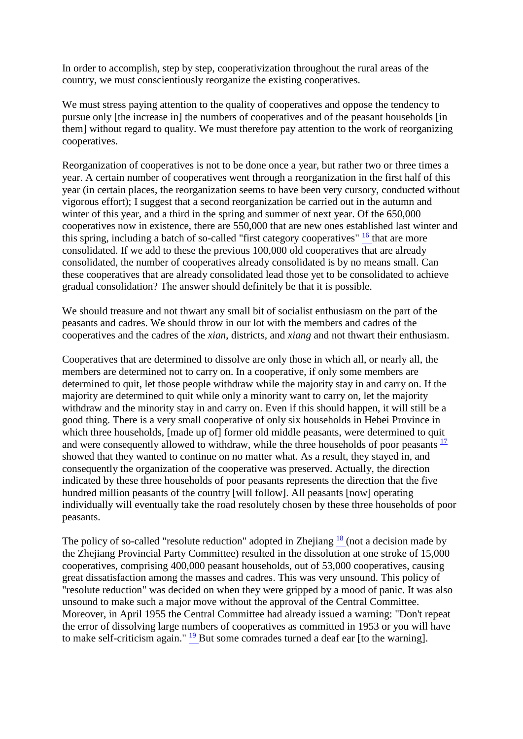In order to accomplish, step by step, cooperativization throughout the rural areas of the country, we must conscientiously reorganize the existing cooperatives.

We must stress paying attention to the quality of cooperatives and oppose the tendency to pursue only [the increase in] the numbers of cooperatives and of the peasant households [in them] without regard to quality. We must therefore pay attention to the work of reorganizing cooperatives.

Reorganization of cooperatives is not to be done once a year, but rather two or three times a year. A certain number of cooperatives went through a reorganization in the first half of this year (in certain places, the reorganization seems to have been very cursory, conducted without vigorous effort); I suggest that a second reorganization be carried out in the autumn and winter of this year, and a third in the spring and summer of next year. Of the 650,000 cooperatives now in existence, there are 550,000 that are new ones established last winter and this spring, including a batch of so-called "first category cooperatives" <sup>16</sup> that are more consolidated. If we add to these the previous 100,000 old cooperatives that are already consolidated, the number of cooperatives already consolidated is by no means small. Can these cooperatives that are already consolidated lead those yet to be consolidated to achieve gradual consolidation? The answer should definitely be that it is possible.

We should treasure and not thwart any small bit of socialist enthusiasm on the part of the peasants and cadres. We should throw in our lot with the members and cadres of the cooperatives and the cadres of the *xian*, districts, and *xiang* and not thwart their enthusiasm.

Cooperatives that are determined to dissolve are only those in which all, or nearly all, the members are determined not to carry on. In a cooperative, if only some members are determined to quit, let those people withdraw while the majority stay in and carry on. If the majority are determined to quit while only a minority want to carry on, let the majority withdraw and the minority stay in and carry on. Even if this should happen, it will still be a good thing. There is a very small cooperative of only six households in Hebei Province in which three households, [made up of] former old middle peasants, were determined to quit and were consequently allowed to withdraw, while the three households of poor peasants  $\frac{17}{12}$  $\frac{17}{12}$  $\frac{17}{12}$ showed that they wanted to continue on no matter what. As a result, they stayed in, and consequently the organization of the cooperative was preserved. Actually, the direction indicated by these three households of poor peasants represents the direction that the five hundred million peasants of the country [will follow]. All peasants [now] operating individually will eventually take the road resolutely chosen by these three households of poor peasants.

The policy of so-called "resolute reduction" adopted in Zhejiang  $\frac{18}{18}$  (not a decision made by the Zhejiang Provincial Party Committee) resulted in the dissolution at one stroke of 15,000 cooperatives, comprising 400,000 peasant households, out of 53,000 cooperatives, causing great dissatisfaction among the masses and cadres. This was very unsound. This policy of "resolute reduction" was decided on when they were gripped by a mood of panic. It was also unsound to make such a major move without the approval of the Central Committee. Moreover, in April 1955 the Central Committee had already issued a warning: "Don't repeat the error of dissolving large numbers of cooperatives as committed in 1953 or you will have to make self-criticism again." [19](http://www.questia.com/PM.qst?a=o&d=99262433) But some comrades turned a deaf ear [to the warning].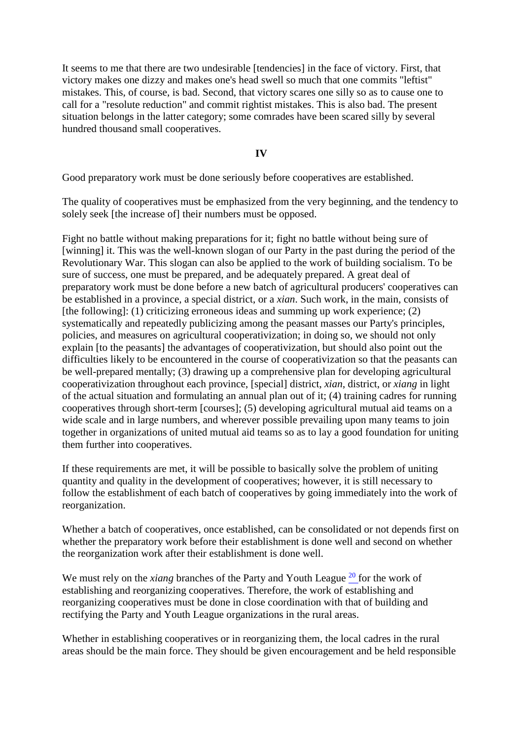It seems to me that there are two undesirable [tendencies] in the face of victory. First, that victory makes one dizzy and makes one's head swell so much that one commits "leftist" mistakes. This, of course, is bad. Second, that victory scares one silly so as to cause one to call for a "resolute reduction" and commit rightist mistakes. This is also bad. The present situation belongs in the latter category; some comrades have been scared silly by several hundred thousand small cooperatives.

**IV** 

Good preparatory work must be done seriously before cooperatives are established.

The quality of cooperatives must be emphasized from the very beginning, and the tendency to solely seek [the increase of] their numbers must be opposed.

Fight no battle without making preparations for it; fight no battle without being sure of [winning] it. This was the well-known slogan of our Party in the past during the period of the Revolutionary War. This slogan can also be applied to the work of building socialism. To be sure of success, one must be prepared, and be adequately prepared. A great deal of preparatory work must be done before a new batch of agricultural producers' cooperatives can be established in a province, a special district, or a *xian*. Such work, in the main, consists of [the following]: (1) criticizing erroneous ideas and summing up work experience; (2) systematically and repeatedly publicizing among the peasant masses our Party's principles, policies, and measures on agricultural cooperativization; in doing so, we should not only explain [to the peasants] the advantages of cooperativization, but should also point out the difficulties likely to be encountered in the course of cooperativization so that the peasants can be well-prepared mentally; (3) drawing up a comprehensive plan for developing agricultural cooperativization throughout each province, [special] district, *xian*, district, or *xiang* in light of the actual situation and formulating an annual plan out of it; (4) training cadres for running cooperatives through short-term [courses]; (5) developing agricultural mutual aid teams on a wide scale and in large numbers, and wherever possible prevailing upon many teams to join together in organizations of united mutual aid teams so as to lay a good foundation for uniting them further into cooperatives.

If these requirements are met, it will be possible to basically solve the problem of uniting quantity and quality in the development of cooperatives; however, it is still necessary to follow the establishment of each batch of cooperatives by going immediately into the work of reorganization.

Whether a batch of cooperatives, once established, can be consolidated or not depends first on whether the preparatory work before their establishment is done well and second on whether the reorganization work after their establishment is done well.

We must rely on the *xiang* branches of the Party and Youth League <sup>20</sup> for the work of establishing and reorganizing cooperatives. Therefore, the work of establishing and reorganizing cooperatives must be done in close coordination with that of building and rectifying the Party and Youth League organizations in the rural areas.

Whether in establishing cooperatives or in reorganizing them, the local cadres in the rural areas should be the main force. They should be given encouragement and be held responsible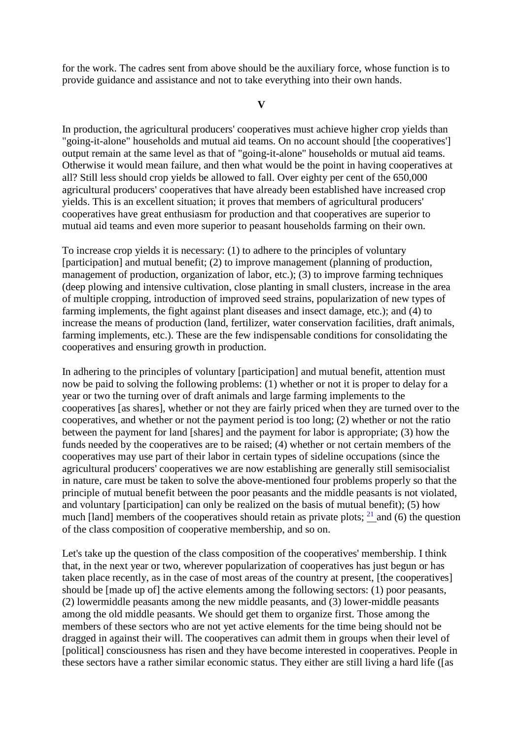for the work. The cadres sent from above should be the auxiliary force, whose function is to provide guidance and assistance and not to take everything into their own hands.

**V** 

In production, the agricultural producers' cooperatives must achieve higher crop yields than "going-it-alone" households and mutual aid teams. On no account should [the cooperatives'] output remain at the same level as that of "going-it-alone" households or mutual aid teams. Otherwise it would mean failure, and then what would be the point in having cooperatives at all? Still less should crop yields be allowed to fall. Over eighty per cent of the 650,000 agricultural producers' cooperatives that have already been established have increased crop yields. This is an excellent situation; it proves that members of agricultural producers' cooperatives have great enthusiasm for production and that cooperatives are superior to mutual aid teams and even more superior to peasant households farming on their own.

To increase crop yields it is necessary: (1) to adhere to the principles of voluntary [participation] and mutual benefit; (2) to improve management (planning of production, management of production, organization of labor, etc.); (3) to improve farming techniques (deep plowing and intensive cultivation, close planting in small clusters, increase in the area of multiple cropping, introduction of improved seed strains, popularization of new types of farming implements, the fight against plant diseases and insect damage, etc.); and (4) to increase the means of production (land, fertilizer, water conservation facilities, draft animals, farming implements, etc.). These are the few indispensable conditions for consolidating the cooperatives and ensuring growth in production.

In adhering to the principles of voluntary [participation] and mutual benefit, attention must now be paid to solving the following problems: (1) whether or not it is proper to delay for a year or two the turning over of draft animals and large farming implements to the cooperatives [as shares], whether or not they are fairly priced when they are turned over to the cooperatives, and whether or not the payment period is too long; (2) whether or not the ratio between the payment for land [shares] and the payment for labor is appropriate; (3) how the funds needed by the cooperatives are to be raised; (4) whether or not certain members of the cooperatives may use part of their labor in certain types of sideline occupations (since the agricultural producers' cooperatives we are now establishing are generally still semisocialist in nature, care must be taken to solve the above-mentioned four problems properly so that the principle of mutual benefit between the poor peasants and the middle peasants is not violated, and voluntary [participation] can only be realized on the basis of mutual benefit); (5) how much [land] members of the cooperatives should retain as private plots;  $^{21}$  and (6) the question of the class composition of cooperative membership, and so on.

Let's take up the question of the class composition of the cooperatives' membership. I think that, in the next year or two, wherever popularization of cooperatives has just begun or has taken place recently, as in the case of most areas of the country at present, [the cooperatives] should be [made up of] the active elements among the following sectors: (1) poor peasants, (2) lowermiddle peasants among the new middle peasants, and (3) lower-middle peasants among the old middle peasants. We should get them to organize first. Those among the members of these sectors who are not yet active elements for the time being should not be dragged in against their will. The cooperatives can admit them in groups when their level of [political] consciousness has risen and they have become interested in cooperatives. People in these sectors have a rather similar economic status. They either are still living a hard life ([as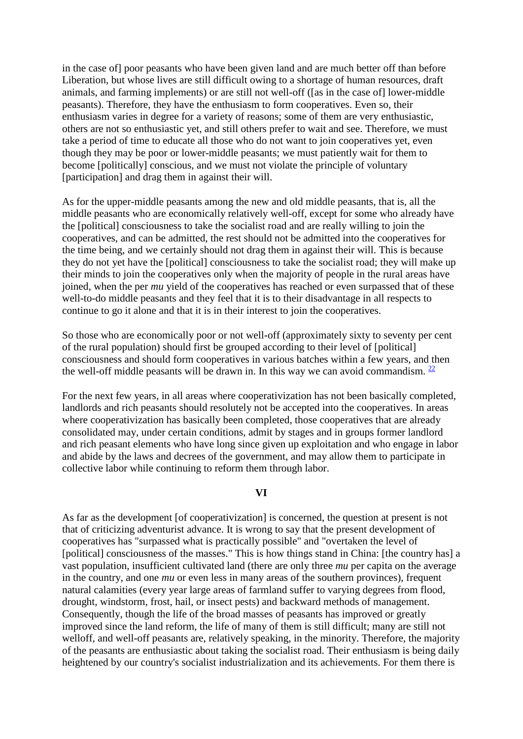in the case of] poor peasants who have been given land and are much better off than before Liberation, but whose lives are still difficult owing to a shortage of human resources, draft animals, and farming implements) or are still not well-off ([as in the case of] lower-middle peasants). Therefore, they have the enthusiasm to form cooperatives. Even so, their enthusiasm varies in degree for a variety of reasons; some of them are very enthusiastic, others are not so enthusiastic yet, and still others prefer to wait and see. Therefore, we must take a period of time to educate all those who do not want to join cooperatives yet, even though they may be poor or lower-middle peasants; we must patiently wait for them to become [politically] conscious, and we must not violate the principle of voluntary [participation] and drag them in against their will.

As for the upper-middle peasants among the new and old middle peasants, that is, all the middle peasants who are economically relatively well-off, except for some who already have the [political] consciousness to take the socialist road and are really willing to join the cooperatives, and can be admitted, the rest should not be admitted into the cooperatives for the time being, and we certainly should not drag them in against their will. This is because they do not yet have the [political] consciousness to take the socialist road; they will make up their minds to join the cooperatives only when the majority of people in the rural areas have joined, when the per *mu* yield of the cooperatives has reached or even surpassed that of these well-to-do middle peasants and they feel that it is to their disadvantage in all respects to continue to go it alone and that it is in their interest to join the cooperatives.

So those who are economically poor or not well-off (approximately sixty to seventy per cent of the rural population) should first be grouped according to their level of [political] consciousness and should form cooperatives in various batches within a few years, and then the well-off middle peasants will be drawn in. In this way we can avoid commandism.  $\frac{22}{3}$ 

For the next few years, in all areas where cooperativization has not been basically completed, landlords and rich peasants should resolutely not be accepted into the cooperatives. In areas where cooperativization has basically been completed, those cooperatives that are already consolidated may, under certain conditions, admit by stages and in groups former landlord and rich peasant elements who have long since given up exploitation and who engage in labor and abide by the laws and decrees of the government, and may allow them to participate in collective labor while continuing to reform them through labor.

#### **VI**

As far as the development [of cooperativization] is concerned, the question at present is not that of criticizing adventurist advance. It is wrong to say that the present development of cooperatives has "surpassed what is practically possible" and "overtaken the level of [political] consciousness of the masses." This is how things stand in China: [the country has] a vast population, insufficient cultivated land (there are only three *mu* per capita on the average in the country, and one *mu* or even less in many areas of the southern provinces), frequent natural calamities (every year large areas of farmland suffer to varying degrees from flood, drought, windstorm, frost, hail, or insect pests) and backward methods of management. Consequently, though the life of the broad masses of peasants has improved or greatly improved since the land reform, the life of many of them is still difficult; many are still not welloff, and well-off peasants are, relatively speaking, in the minority. Therefore, the majority of the peasants are enthusiastic about taking the socialist road. Their enthusiasm is being daily heightened by our country's socialist industrialization and its achievements. For them there is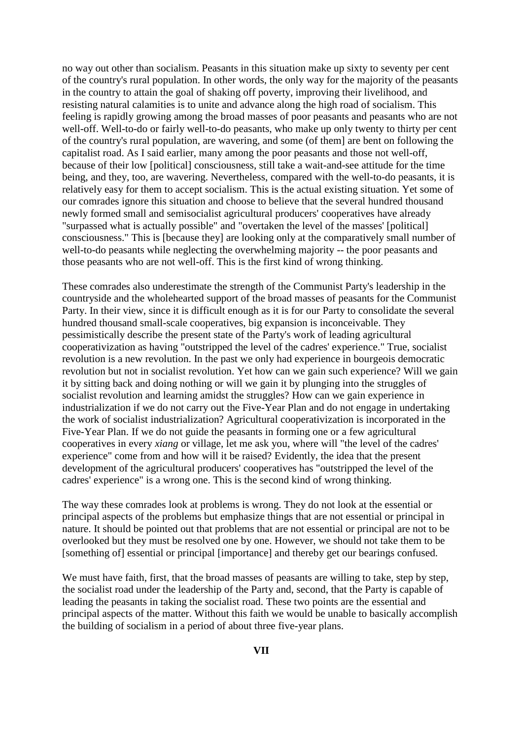no way out other than socialism. Peasants in this situation make up sixty to seventy per cent of the country's rural population. In other words, the only way for the majority of the peasants in the country to attain the goal of shaking off poverty, improving their livelihood, and resisting natural calamities is to unite and advance along the high road of socialism. This feeling is rapidly growing among the broad masses of poor peasants and peasants who are not well-off. Well-to-do or fairly well-to-do peasants, who make up only twenty to thirty per cent of the country's rural population, are wavering, and some (of them] are bent on following the capitalist road. As I said earlier, many among the poor peasants and those not well-off, because of their low [political] consciousness, still take a wait-and-see attitude for the time being, and they, too, are wavering. Nevertheless, compared with the well-to-do peasants, it is relatively easy for them to accept socialism. This is the actual existing situation. Yet some of our comrades ignore this situation and choose to believe that the several hundred thousand newly formed small and semisocialist agricultural producers' cooperatives have already "surpassed what is actually possible" and "overtaken the level of the masses' [political] consciousness." This is [because they] are looking only at the comparatively small number of well-to-do peasants while neglecting the overwhelming majority -- the poor peasants and those peasants who are not well-off. This is the first kind of wrong thinking.

These comrades also underestimate the strength of the Communist Party's leadership in the countryside and the wholehearted support of the broad masses of peasants for the Communist Party. In their view, since it is difficult enough as it is for our Party to consolidate the several hundred thousand small-scale cooperatives, big expansion is inconceivable. They pessimistically describe the present state of the Party's work of leading agricultural cooperativization as having "outstripped the level of the cadres' experience." True, socialist revolution is a new revolution. In the past we only had experience in bourgeois democratic revolution but not in socialist revolution. Yet how can we gain such experience? Will we gain it by sitting back and doing nothing or will we gain it by plunging into the struggles of socialist revolution and learning amidst the struggles? How can we gain experience in industrialization if we do not carry out the Five-Year Plan and do not engage in undertaking the work of socialist industrialization? Agricultural cooperativization is incorporated in the Five-Year Plan. If we do not guide the peasants in forming one or a few agricultural cooperatives in every *xiang* or village, let me ask you, where will "the level of the cadres' experience" come from and how will it be raised? Evidently, the idea that the present development of the agricultural producers' cooperatives has "outstripped the level of the cadres' experience" is a wrong one. This is the second kind of wrong thinking.

The way these comrades look at problems is wrong. They do not look at the essential or principal aspects of the problems but emphasize things that are not essential or principal in nature. It should be pointed out that problems that are not essential or principal are not to be overlooked but they must be resolved one by one. However, we should not take them to be [something of] essential or principal [importance] and thereby get our bearings confused.

We must have faith, first, that the broad masses of peasants are willing to take, step by step, the socialist road under the leadership of the Party and, second, that the Party is capable of leading the peasants in taking the socialist road. These two points are the essential and principal aspects of the matter. Without this faith we would be unable to basically accomplish the building of socialism in a period of about three five-year plans.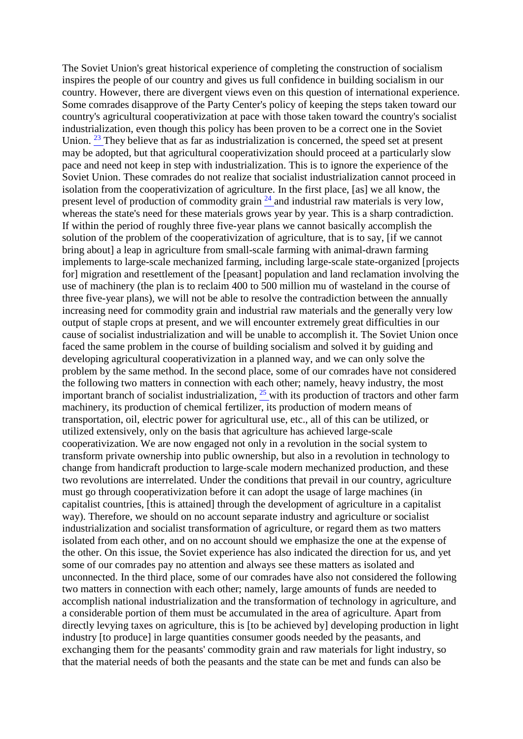The Soviet Union's great historical experience of completing the construction of socialism inspires the people of our country and gives us full confidence in building socialism in our country. However, there are divergent views even on this question of international experience. Some comrades disapprove of the Party Center's policy of keeping the steps taken toward our country's agricultural cooperativization at pace with those taken toward the country's socialist industrialization, even though this policy has been proven to be a correct one in the Soviet Union.  $23$  They believe that as far as industrialization is concerned, the speed set at present may be adopted, but that agricultural cooperativization should proceed at a particularly slow pace and need not keep in step with industrialization. This is to ignore the experience of the Soviet Union. These comrades do not realize that socialist industrialization cannot proceed in isolation from the cooperativization of agriculture. In the first place, [as] we all know, the present level of production of commodity grain  $\frac{24}{3}$  and industrial raw materials is very low, whereas the state's need for these materials grows year by year. This is a sharp contradiction. If within the period of roughly three five-year plans we cannot basically accomplish the solution of the problem of the cooperativization of agriculture, that is to say, [if we cannot bring about] a leap in agriculture from small-scale farming with animal-drawn farming implements to large-scale mechanized farming, including large-scale state-organized [projects for] migration and resettlement of the [peasant] population and land reclamation involving the use of machinery (the plan is to reclaim 400 to 500 million mu of wasteland in the course of three five-year plans), we will not be able to resolve the contradiction between the annually increasing need for commodity grain and industrial raw materials and the generally very low output of staple crops at present, and we will encounter extremely great difficulties in our cause of socialist industrialization and will be unable to accomplish it. The Soviet Union once faced the same problem in the course of building socialism and solved it by guiding and developing agricultural cooperativization in a planned way, and we can only solve the problem by the same method. In the second place, some of our comrades have not considered the following two matters in connection with each other; namely, heavy industry, the most important branch of socialist industrialization,  $25$  with its production of tractors and other farm machinery, its production of chemical fertilizer, its production of modern means of transportation, oil, electric power for agricultural use, etc., all of this can be utilized, or utilized extensively, only on the basis that agriculture has achieved large-scale cooperativization. We are now engaged not only in a revolution in the social system to transform private ownership into public ownership, but also in a revolution in technology to change from handicraft production to large-scale modern mechanized production, and these two revolutions are interrelated. Under the conditions that prevail in our country, agriculture must go through cooperativization before it can adopt the usage of large machines (in capitalist countries, [this is attained] through the development of agriculture in a capitalist way). Therefore, we should on no account separate industry and agriculture or socialist industrialization and socialist transformation of agriculture, or regard them as two matters isolated from each other, and on no account should we emphasize the one at the expense of the other. On this issue, the Soviet experience has also indicated the direction for us, and yet some of our comrades pay no attention and always see these matters as isolated and unconnected. In the third place, some of our comrades have also not considered the following two matters in connection with each other; namely, large amounts of funds are needed to accomplish national industrialization and the transformation of technology in agriculture, and a considerable portion of them must be accumulated in the area of agriculture. Apart from directly levying taxes on agriculture, this is [to be achieved by] developing production in light industry [to produce] in large quantities consumer goods needed by the peasants, and exchanging them for the peasants' commodity grain and raw materials for light industry, so that the material needs of both the peasants and the state can be met and funds can also be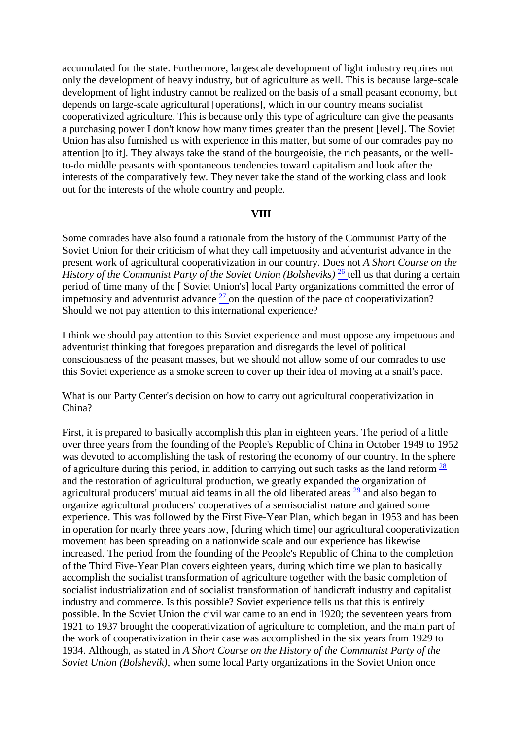accumulated for the state. Furthermore, largescale development of light industry requires not only the development of heavy industry, but of agriculture as well. This is because large-scale development of light industry cannot be realized on the basis of a small peasant economy, but depends on large-scale agricultural [operations], which in our country means socialist cooperativized agriculture. This is because only this type of agriculture can give the peasants a purchasing power I don't know how many times greater than the present [level]. The Soviet Union has also furnished us with experience in this matter, but some of our comrades pay no attention [to it]. They always take the stand of the bourgeoisie, the rich peasants, or the wellto-do middle peasants with spontaneous tendencies toward capitalism and look after the interests of the comparatively few. They never take the stand of the working class and look out for the interests of the whole country and people.

## **VIII**

Some comrades have also found a rationale from the history of the Communist Party of the Soviet Union for their criticism of what they call impetuosity and adventurist advance in the present work of agricultural cooperativization in our country. Does not *A Short Course on the History of the Communist Party of the Soviet Union (Bolsheviks)* <sup>[26](http://www.questia.com/PM.qst?a=o&d=99262434)</sup> tell us that during a certain period of time many of the [ Soviet Union's] local Party organizations committed the error of impetuosity and adventurist advance  $2<sup>7</sup>$  on the question of the pace of cooperativization? Should we not pay attention to this international experience?

I think we should pay attention to this Soviet experience and must oppose any impetuous and adventurist thinking that foregoes preparation and disregards the level of political consciousness of the peasant masses, but we should not allow some of our comrades to use this Soviet experience as a smoke screen to cover up their idea of moving at a snail's pace.

What is our Party Center's decision on how to carry out agricultural cooperativization in China?

First, it is prepared to basically accomplish this plan in eighteen years. The period of a little over three years from the founding of the People's Republic of China in October 1949 to 1952 was devoted to accomplishing the task of restoring the economy of our country. In the sphere of agriculture during this period, in addition to carrying out such tasks as the land reform  $\frac{28}{3}$ and the restoration of agricultural production, we greatly expanded the organization of agricultural producers' mutual aid teams in all the old liberated areas [29](http://www.questia.com/PM.qst?a=o&d=99262434) and also began to organize agricultural producers' cooperatives of a semisocialist nature and gained some experience. This was followed by the First Five-Year Plan, which began in 1953 and has been in operation for nearly three years now, [during which time] our agricultural cooperativization movement has been spreading on a nationwide scale and our experience has likewise increased. The period from the founding of the People's Republic of China to the completion of the Third Five-Year Plan covers eighteen years, during which time we plan to basically accomplish the socialist transformation of agriculture together with the basic completion of socialist industrialization and of socialist transformation of handicraft industry and capitalist industry and commerce. Is this possible? Soviet experience tells us that this is entirely possible. In the Soviet Union the civil war came to an end in 1920; the seventeen years from 1921 to 1937 brought the cooperativization of agriculture to completion, and the main part of the work of cooperativization in their case was accomplished in the six years from 1929 to 1934. Although, as stated in *A Short Course on the History of the Communist Party of the Soviet Union (Bolshevik)*, when some local Party organizations in the Soviet Union once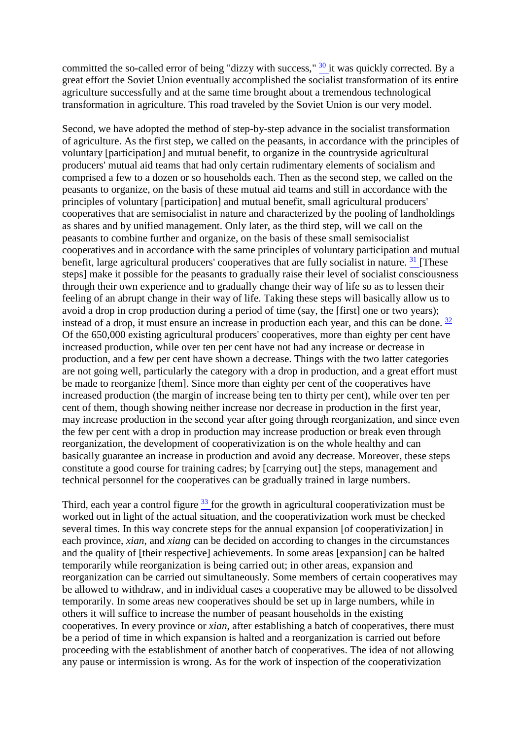committed the so-called error of being "dizzy with success," <sup>[30](http://www.questia.com/PM.qst?a=o&d=99262435)</sup> it was quickly corrected. By a great effort the Soviet Union eventually accomplished the socialist transformation of its entire agriculture successfully and at the same time brought about a tremendous technological transformation in agriculture. This road traveled by the Soviet Union is our very model.

Second, we have adopted the method of step-by-step advance in the socialist transformation of agriculture. As the first step, we called on the peasants, in accordance with the principles of voluntary [participation] and mutual benefit, to organize in the countryside agricultural producers' mutual aid teams that had only certain rudimentary elements of socialism and comprised a few to a dozen or so households each. Then as the second step, we called on the peasants to organize, on the basis of these mutual aid teams and still in accordance with the principles of voluntary [participation] and mutual benefit, small agricultural producers' cooperatives that are semisocialist in nature and characterized by the pooling of landholdings as shares and by unified management. Only later, as the third step, will we call on the peasants to combine further and organize, on the basis of these small semisocialist cooperatives and in accordance with the same principles of voluntary participation and mutual benefit, large agricultural producers' cooperatives that are fully socialist in nature.  $31$  [These steps] make it possible for the peasants to gradually raise their level of socialist consciousness through their own experience and to gradually change their way of life so as to lessen their feeling of an abrupt change in their way of life. Taking these steps will basically allow us to avoid a drop in crop production during a period of time (say, the [first] one or two years); instead of a drop, it must ensure an increase in production each year, and this can be done.  $\frac{32}{3}$ Of the 650,000 existing agricultural producers' cooperatives, more than eighty per cent have increased production, while over ten per cent have not had any increase or decrease in production, and a few per cent have shown a decrease. Things with the two latter categories are not going well, particularly the category with a drop in production, and a great effort must be made to reorganize [them]. Since more than eighty per cent of the cooperatives have increased production (the margin of increase being ten to thirty per cent), while over ten per cent of them, though showing neither increase nor decrease in production in the first year, may increase production in the second year after going through reorganization, and since even the few per cent with a drop in production may increase production or break even through reorganization, the development of cooperativization is on the whole healthy and can basically guarantee an increase in production and avoid any decrease. Moreover, these steps constitute a good course for training cadres; by [carrying out] the steps, management and technical personnel for the cooperatives can be gradually trained in large numbers.

Third, each year a control figure  $33$  for the growth in agricultural cooperativization must be worked out in light of the actual situation, and the cooperativization work must be checked several times. In this way concrete steps for the annual expansion [of cooperativization] in each province, *xian*, and *xiang* can be decided on according to changes in the circumstances and the quality of [their respective] achievements. In some areas [expansion] can be halted temporarily while reorganization is being carried out; in other areas, expansion and reorganization can be carried out simultaneously. Some members of certain cooperatives may be allowed to withdraw, and in individual cases a cooperative may be allowed to be dissolved temporarily. In some areas new cooperatives should be set up in large numbers, while in others it will suffice to increase the number of peasant households in the existing cooperatives. In every province or *xian*, after establishing a batch of cooperatives, there must be a period of time in which expansion is halted and a reorganization is carried out before proceeding with the establishment of another batch of cooperatives. The idea of not allowing any pause or intermission is wrong. As for the work of inspection of the cooperativization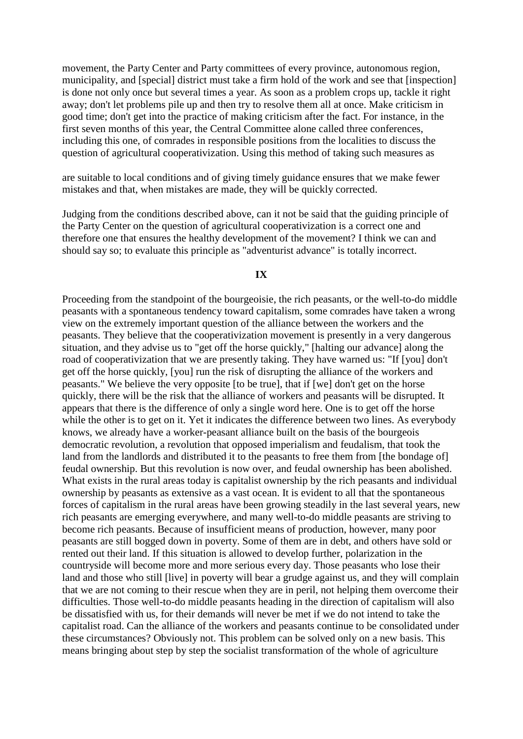movement, the Party Center and Party committees of every province, autonomous region, municipality, and [special] district must take a firm hold of the work and see that [inspection] is done not only once but several times a year. As soon as a problem crops up, tackle it right away; don't let problems pile up and then try to resolve them all at once. Make criticism in good time; don't get into the practice of making criticism after the fact. For instance, in the first seven months of this year, the Central Committee alone called three conferences, including this one, of comrades in responsible positions from the localities to discuss the question of agricultural cooperativization. Using this method of taking such measures as

are suitable to local conditions and of giving timely guidance ensures that we make fewer mistakes and that, when mistakes are made, they will be quickly corrected.

Judging from the conditions described above, can it not be said that the guiding principle of the Party Center on the question of agricultural cooperativization is a correct one and therefore one that ensures the healthy development of the movement? I think we can and should say so; to evaluate this principle as "adventurist advance" is totally incorrect.

## **IX**

Proceeding from the standpoint of the bourgeoisie, the rich peasants, or the well-to-do middle peasants with a spontaneous tendency toward capitalism, some comrades have taken a wrong view on the extremely important question of the alliance between the workers and the peasants. They believe that the cooperativization movement is presently in a very dangerous situation, and they advise us to "get off the horse quickly," [halting our advance] along the road of cooperativization that we are presently taking. They have warned us: "If [you] don't get off the horse quickly, [you] run the risk of disrupting the alliance of the workers and peasants." We believe the very opposite [to be true], that if [we] don't get on the horse quickly, there will be the risk that the alliance of workers and peasants will be disrupted. It appears that there is the difference of only a single word here. One is to get off the horse while the other is to get on it. Yet it indicates the difference between two lines. As everybody knows, we already have a worker-peasant alliance built on the basis of the bourgeois democratic revolution, a revolution that opposed imperialism and feudalism, that took the land from the landlords and distributed it to the peasants to free them from [the bondage of] feudal ownership. But this revolution is now over, and feudal ownership has been abolished. What exists in the rural areas today is capitalist ownership by the rich peasants and individual ownership by peasants as extensive as a vast ocean. It is evident to all that the spontaneous forces of capitalism in the rural areas have been growing steadily in the last several years, new rich peasants are emerging everywhere, and many well-to-do middle peasants are striving to become rich peasants. Because of insufficient means of production, however, many poor peasants are still bogged down in poverty. Some of them are in debt, and others have sold or rented out their land. If this situation is allowed to develop further, polarization in the countryside will become more and more serious every day. Those peasants who lose their land and those who still [live] in poverty will bear a grudge against us, and they will complain that we are not coming to their rescue when they are in peril, not helping them overcome their difficulties. Those well-to-do middle peasants heading in the direction of capitalism will also be dissatisfied with us, for their demands will never be met if we do not intend to take the capitalist road. Can the alliance of the workers and peasants continue to be consolidated under these circumstances? Obviously not. This problem can be solved only on a new basis. This means bringing about step by step the socialist transformation of the whole of agriculture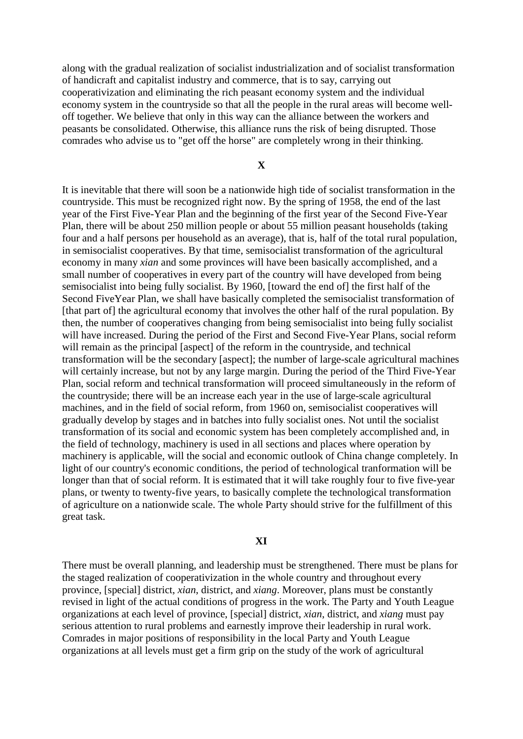along with the gradual realization of socialist industrialization and of socialist transformation of handicraft and capitalist industry and commerce, that is to say, carrying out cooperativization and eliminating the rich peasant economy system and the individual economy system in the countryside so that all the people in the rural areas will become welloff together. We believe that only in this way can the alliance between the workers and peasants be consolidated. Otherwise, this alliance runs the risk of being disrupted. Those comrades who advise us to "get off the horse" are completely wrong in their thinking.

#### **X**

It is inevitable that there will soon be a nationwide high tide of socialist transformation in the countryside. This must be recognized right now. By the spring of 1958, the end of the last year of the First Five-Year Plan and the beginning of the first year of the Second Five-Year Plan, there will be about 250 million people or about 55 million peasant households (taking four and a half persons per household as an average), that is, half of the total rural population, in semisocialist cooperatives. By that time, semisocialist transformation of the agricultural economy in many *xian* and some provinces will have been basically accomplished, and a small number of cooperatives in every part of the country will have developed from being semisocialist into being fully socialist. By 1960, [toward the end of] the first half of the Second FiveYear Plan, we shall have basically completed the semisocialist transformation of [that part of] the agricultural economy that involves the other half of the rural population. By then, the number of cooperatives changing from being semisocialist into being fully socialist will have increased. During the period of the First and Second Five-Year Plans, social reform will remain as the principal [aspect] of the reform in the countryside, and technical transformation will be the secondary [aspect]; the number of large-scale agricultural machines will certainly increase, but not by any large margin. During the period of the Third Five-Year Plan, social reform and technical transformation will proceed simultaneously in the reform of the countryside; there will be an increase each year in the use of large-scale agricultural machines, and in the field of social reform, from 1960 on, semisocialist cooperatives will gradually develop by stages and in batches into fully socialist ones. Not until the socialist transformation of its social and economic system has been completely accomplished and, in the field of technology, machinery is used in all sections and places where operation by machinery is applicable, will the social and economic outlook of China change completely. In light of our country's economic conditions, the period of technological tranformation will be longer than that of social reform. It is estimated that it will take roughly four to five five-year plans, or twenty to twenty-five years, to basically complete the technological transformation of agriculture on a nationwide scale. The whole Party should strive for the fulfillment of this great task.

#### **XI**

There must be overall planning, and leadership must be strengthened. There must be plans for the staged realization of cooperativization in the whole country and throughout every province, [special] district, *xian*, district, and *xiang*. Moreover, plans must be constantly revised in light of the actual conditions of progress in the work. The Party and Youth League organizations at each level of province, [special] district, *xian*, district, and *xiang* must pay serious attention to rural problems and earnestly improve their leadership in rural work. Comrades in major positions of responsibility in the local Party and Youth League organizations at all levels must get a firm grip on the study of the work of agricultural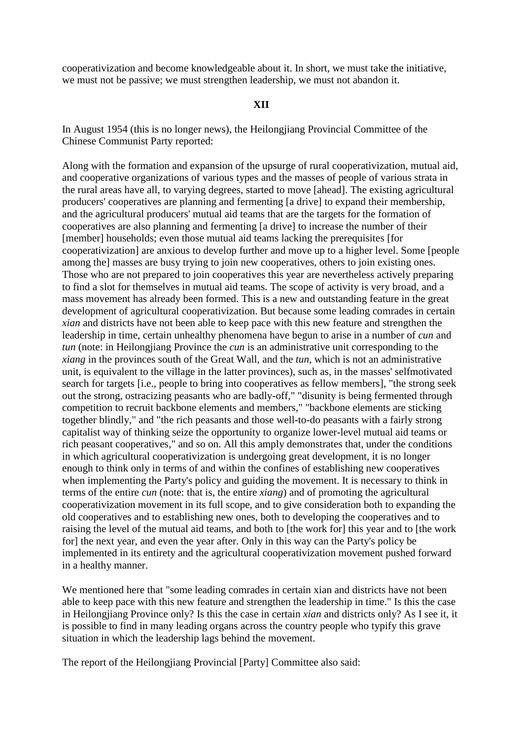cooperativization and become knowledgeable about it. In short, we must take the initiative, we must not be passive; we must strengthen leadership, we must not abandon it.

## **XII**

In August 1954 (this is no longer news), the Heilongjiang Provincial Committee of the Chinese Communist Party reported:

Along with the formation and expansion of the upsurge of rural cooperativization, mutual aid, and cooperative organizations of various types and the masses of people of various strata in the rural areas have all, to varying degrees, started to move [ahead]. The existing agricultural producers' cooperatives are planning and fermenting [a drive] to expand their membership, and the agricultural producers' mutual aid teams that are the targets for the formation of cooperatives are also planning and fermenting [a drive] to increase the number of their [member] households; even those mutual aid teams lacking the prerequisites [for cooperativization] are anxious to develop further and move up to a higher level. Some [people among the] masses are busy trying to join new cooperatives, others to join existing ones. Those who are not prepared to join cooperatives this year are nevertheless actively preparing to find a slot for themselves in mutual aid teams. The scope of activity is very broad, and a mass movement has already been formed. This is a new and outstanding feature in the great development of agricultural cooperativization. But because some leading comrades in certain *xian* and districts have not been able to keep pace with this new feature and strengthen the leadership in time, certain unhealthy phenomena have begun to arise in a number of *cun* and *tun* (note: in Heilongjiang Province the *cun* is an administrative unit corresponding to the *xiang* in the provinces south of the Great Wall, and the *tun*, which is not an administrative unit, is equivalent to the village in the latter provinces), such as, in the masses' selfmotivated search for targets [i.e., people to bring into cooperatives as fellow members], "the strong seek out the strong, ostracizing peasants who are badly-off," "disunity is being fermented through competition to recruit backbone elements and members," "backbone elements are sticking together blindly," and "the rich peasants and those well-to-do peasants with a fairly strong capitalist way of thinking seize the opportunity to organize lower-level mutual aid teams or rich peasant cooperatives," and so on. All this amply demonstrates that, under the conditions in which agricultural cooperativization is undergoing great development, it is no longer enough to think only in terms of and within the confines of establishing new cooperatives when implementing the Party's policy and guiding the movement. It is necessary to think in terms of the entire *cun* (note: that is, the entire *xiang*) and of promoting the agricultural cooperativization movement in its full scope, and to give consideration both to expanding the old cooperatives and to establishing new ones, both to developing the cooperatives and to raising the level of the mutual aid teams, and both to [the work for] this year and to [the work for] the next year, and even the year after. Only in this way can the Party's policy be implemented in its entirety and the agricultural cooperativization movement pushed forward in a healthy manner.

We mentioned here that "some leading comrades in certain xian and districts have not been able to keep pace with this new feature and strengthen the leadership in time." Is this the case in Heilongjiang Province only? Is this the case in certain *xian* and districts only? As I see it, it is possible to find in many leading organs across the country people who typify this grave situation in which the leadership lags behind the movement.

The report of the Heilongjiang Provincial [Party] Committee also said: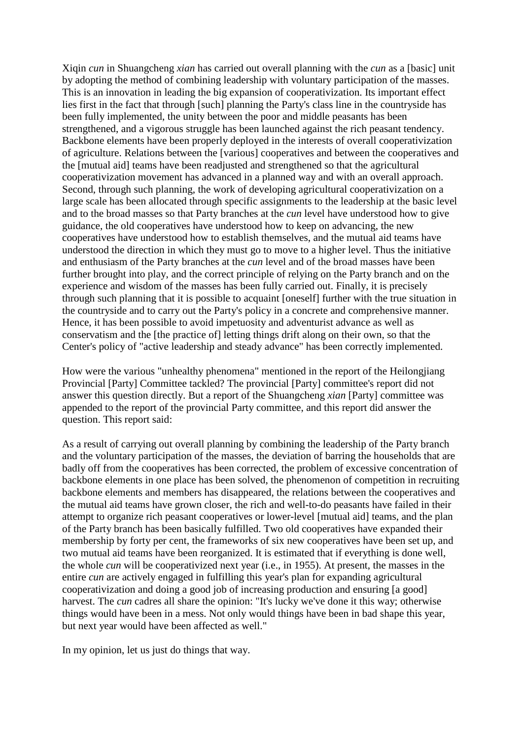Xiqin *cun* in Shuangcheng *xian* has carried out overall planning with the *cun* as a [basic] unit by adopting the method of combining leadership with voluntary participation of the masses. This is an innovation in leading the big expansion of cooperativization. Its important effect lies first in the fact that through [such] planning the Party's class line in the countryside has been fully implemented, the unity between the poor and middle peasants has been strengthened, and a vigorous struggle has been launched against the rich peasant tendency. Backbone elements have been properly deployed in the interests of overall cooperativization of agriculture. Relations between the [various] cooperatives and between the cooperatives and the [mutual aid] teams have been readjusted and strengthened so that the agricultural cooperativization movement has advanced in a planned way and with an overall approach. Second, through such planning, the work of developing agricultural cooperativization on a large scale has been allocated through specific assignments to the leadership at the basic level and to the broad masses so that Party branches at the *cun* level have understood how to give guidance, the old cooperatives have understood how to keep on advancing, the new cooperatives have understood how to establish themselves, and the mutual aid teams have understood the direction in which they must go to move to a higher level. Thus the initiative and enthusiasm of the Party branches at the *cun* level and of the broad masses have been further brought into play, and the correct principle of relying on the Party branch and on the experience and wisdom of the masses has been fully carried out. Finally, it is precisely through such planning that it is possible to acquaint [oneself] further with the true situation in the countryside and to carry out the Party's policy in a concrete and comprehensive manner. Hence, it has been possible to avoid impetuosity and adventurist advance as well as conservatism and the [the practice of] letting things drift along on their own, so that the Center's policy of "active leadership and steady advance" has been correctly implemented.

How were the various "unhealthy phenomena" mentioned in the report of the Heilongjiang Provincial [Party] Committee tackled? The provincial [Party] committee's report did not answer this question directly. But a report of the Shuangcheng *xian* [Party] committee was appended to the report of the provincial Party committee, and this report did answer the question. This report said:

As a result of carrying out overall planning by combining the leadership of the Party branch and the voluntary participation of the masses, the deviation of barring the households that are badly off from the cooperatives has been corrected, the problem of excessive concentration of backbone elements in one place has been solved, the phenomenon of competition in recruiting backbone elements and members has disappeared, the relations between the cooperatives and the mutual aid teams have grown closer, the rich and well-to-do peasants have failed in their attempt to organize rich peasant cooperatives or lower-level [mutual aid] teams, and the plan of the Party branch has been basically fulfilled. Two old cooperatives have expanded their membership by forty per cent, the frameworks of six new cooperatives have been set up, and two mutual aid teams have been reorganized. It is estimated that if everything is done well, the whole *cun* will be cooperativized next year (i.e., in 1955). At present, the masses in the entire *cun* are actively engaged in fulfilling this year's plan for expanding agricultural cooperativization and doing a good job of increasing production and ensuring [a good] harvest. The *cun* cadres all share the opinion: "It's lucky we've done it this way; otherwise things would have been in a mess. Not only would things have been in bad shape this year, but next year would have been affected as well."

In my opinion, let us just do things that way.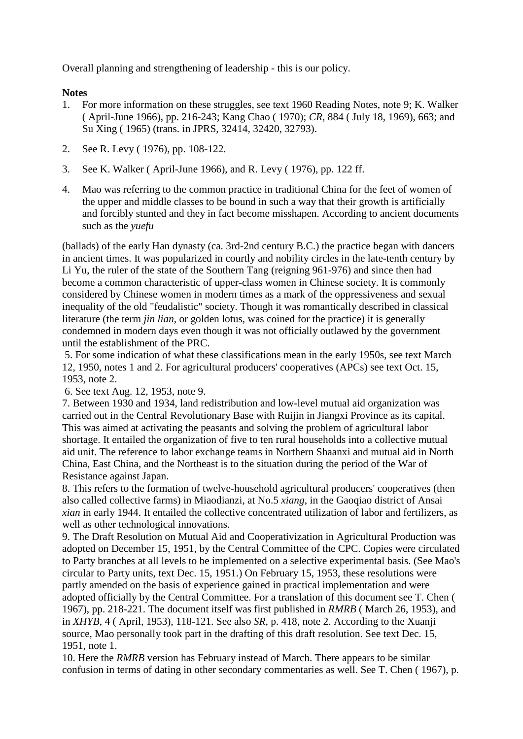Overall planning and strengthening of leadership - this is our policy.

# **Notes**

- 1. For more information on these struggles, see text 1960 Reading Notes, note 9; K. Walker ( April-June 1966), pp. 216-243; Kang Chao ( 1970); *CR*, 884 ( July 18, 1969), 663; and Su Xing ( 1965) (trans. in JPRS, 32414, 32420, 32793).
- 2. See R. Levy ( 1976), pp. 108-122.
- 3. See K. Walker ( April-June 1966), and R. Levy ( 1976), pp. 122 ff.
- 4. Mao was referring to the common practice in traditional China for the feet of women of the upper and middle classes to be bound in such a way that their growth is artificially and forcibly stunted and they in fact become misshapen. According to ancient documents such as the *yuefu*

(ballads) of the early Han dynasty (ca. 3rd-2nd century B.C.) the practice began with dancers in ancient times. It was popularized in courtly and nobility circles in the late-tenth century by Li Yu, the ruler of the state of the Southern Tang (reigning 961-976) and since then had become a common characteristic of upper-class women in Chinese society. It is commonly considered by Chinese women in modern times as a mark of the oppressiveness and sexual inequality of the old "feudalistic" society. Though it was romantically described in classical literature (the term *jin lian*, or golden lotus, was coined for the practice) it is generally condemned in modern days even though it was not officially outlawed by the government until the establishment of the PRC.

5. For some indication of what these classifications mean in the early 1950s, see text March 12, 1950, notes 1 and 2. For agricultural producers' cooperatives (APCs) see text Oct. 15, 1953, note 2.

6. See text Aug. 12, 1953, note 9.

7. Between 1930 and 1934, land redistribution and low-level mutual aid organization was carried out in the Central Revolutionary Base with Ruijin in Jiangxi Province as its capital. This was aimed at activating the peasants and solving the problem of agricultural labor shortage. It entailed the organization of five to ten rural households into a collective mutual aid unit. The reference to labor exchange teams in Northern Shaanxi and mutual aid in North China, East China, and the Northeast is to the situation during the period of the War of Resistance against Japan.

8. This refers to the formation of twelve-household agricultural producers' cooperatives (then also called collective farms) in Miaodianzi, at No.5 *xiang*, in the Gaoqiao district of Ansai *xian* in early 1944. It entailed the collective concentrated utilization of labor and fertilizers, as well as other technological innovations.

9. The Draft Resolution on Mutual Aid and Cooperativization in Agricultural Production was adopted on December 15, 1951, by the Central Committee of the CPC. Copies were circulated to Party branches at all levels to be implemented on a selective experimental basis. (See Mao's circular to Party units, text Dec. 15, 1951.) On February 15, 1953, these resolutions were partly amended on the basis of experience gained in practical implementation and were adopted officially by the Central Committee. For a translation of this document see T. Chen ( 1967), pp. 218-221. The document itself was first published in *RMRB* ( March 26, 1953), and in *XHYB*, 4 ( April, 1953), 118-121. See also *SR*, p. 418, note 2. According to the Xuanji source, Mao personally took part in the drafting of this draft resolution. See text Dec. 15, 1951, note 1.

10. Here the *RMRB* version has February instead of March. There appears to be similar confusion in terms of dating in other secondary commentaries as well. See T. Chen ( 1967), p.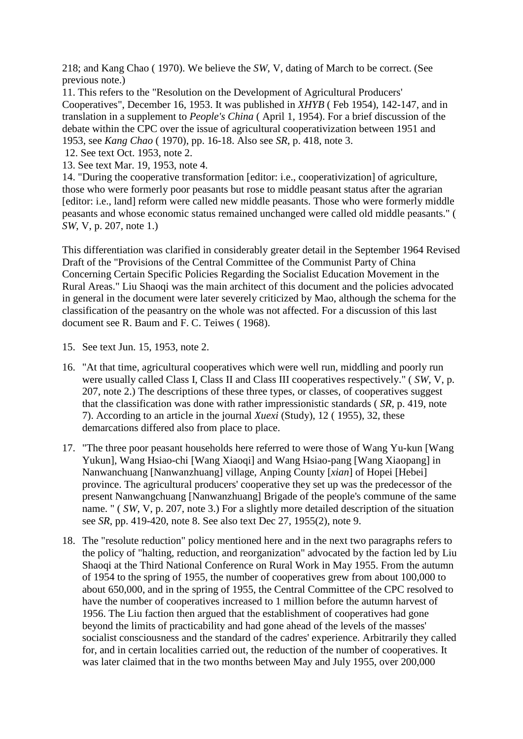218; and Kang Chao ( 1970). We believe the *SW*, V, dating of March to be correct. (See previous note.)

11. This refers to the "Resolution on the Development of Agricultural Producers' Cooperatives", December 16, 1953. It was published in *XHYB* ( Feb 1954), 142-147, and in translation in a supplement to *People's China* ( April 1, 1954). For a brief discussion of the debate within the CPC over the issue of agricultural cooperativization between 1951 and 1953, see *Kang Chao* ( 1970), pp. 16-18. Also see *SR*, p. 418, note 3.

- 12. See text Oct. 1953, note 2.
- 13. See text Mar. 19, 1953, note 4.

14. "During the cooperative transformation [editor: i.e., cooperativization] of agriculture, those who were formerly poor peasants but rose to middle peasant status after the agrarian [editor: i.e., land] reform were called new middle peasants. Those who were formerly middle peasants and whose economic status remained unchanged were called old middle peasants." ( *SW*, V, p. 207, note 1.)

This differentiation was clarified in considerably greater detail in the September 1964 Revised Draft of the "Provisions of the Central Committee of the Communist Party of China Concerning Certain Specific Policies Regarding the Socialist Education Movement in the Rural Areas." Liu Shaoqi was the main architect of this document and the policies advocated in general in the document were later severely criticized by Mao, although the schema for the classification of the peasantry on the whole was not affected. For a discussion of this last document see R. Baum and F. C. Teiwes ( 1968).

- 15. See text Jun. 15, 1953, note 2.
- 16. "At that time, agricultural cooperatives which were well run, middling and poorly run were usually called Class I, Class II and Class III cooperatives respectively." ( *SW*, V, p. 207, note 2.) The descriptions of these three types, or classes, of cooperatives suggest that the classification was done with rather impressionistic standards ( *SR*, p. 419, note 7). According to an article in the journal *Xuexi* (Study), 12 ( 1955), 32, these demarcations differed also from place to place.
- 17. "The three poor peasant households here referred to were those of Wang Yu-kun [Wang Yukun], Wang Hsiao-chi [Wang Xiaoqi] and Wang Hsiao-pang [Wang Xiaopang] in Nanwanchuang [Nanwanzhuang] village, Anping County [*xian*] of Hopei [Hebei] province. The agricultural producers' cooperative they set up was the predecessor of the present Nanwangchuang [Nanwanzhuang] Brigade of the people's commune of the same name. " ( *SW*, V, p. 207, note 3.) For a slightly more detailed description of the situation see *SR*, pp. 419-420, note 8. See also text Dec 27, 1955(2), note 9.
- 18. The "resolute reduction" policy mentioned here and in the next two paragraphs refers to the policy of "halting, reduction, and reorganization" advocated by the faction led by Liu Shaoqi at the Third National Conference on Rural Work in May 1955. From the autumn of 1954 to the spring of 1955, the number of cooperatives grew from about 100,000 to about 650,000, and in the spring of 1955, the Central Committee of the CPC resolved to have the number of cooperatives increased to 1 million before the autumn harvest of 1956. The Liu faction then argued that the establishment of cooperatives had gone beyond the limits of practicability and had gone ahead of the levels of the masses' socialist consciousness and the standard of the cadres' experience. Arbitrarily they called for, and in certain localities carried out, the reduction of the number of cooperatives. It was later claimed that in the two months between May and July 1955, over 200,000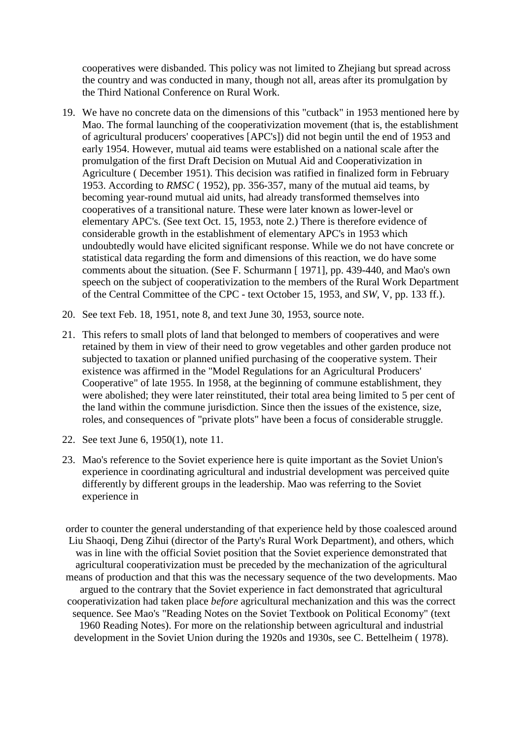cooperatives were disbanded. This policy was not limited to Zhejiang but spread across the country and was conducted in many, though not all, areas after its promulgation by the Third National Conference on Rural Work.

- 19. We have no concrete data on the dimensions of this "cutback" in 1953 mentioned here by Mao. The formal launching of the cooperativization movement (that is, the establishment of agricultural producers' cooperatives [APC's]) did not begin until the end of 1953 and early 1954. However, mutual aid teams were established on a national scale after the promulgation of the first Draft Decision on Mutual Aid and Cooperativization in Agriculture ( December 1951). This decision was ratified in finalized form in February 1953. According to *RMSC* ( 1952), pp. 356-357, many of the mutual aid teams, by becoming year-round mutual aid units, had already transformed themselves into cooperatives of a transitional nature. These were later known as lower-level or elementary APC's. (See text Oct. 15, 1953, note 2.) There is therefore evidence of considerable growth in the establishment of elementary APC's in 1953 which undoubtedly would have elicited significant response. While we do not have concrete or statistical data regarding the form and dimensions of this reaction, we do have some comments about the situation. (See F. Schurmann [ 1971], pp. 439-440, and Mao's own speech on the subject of cooperativization to the members of the Rural Work Department of the Central Committee of the CPC - text October 15, 1953, and *SW*, V, pp. 133 ff.).
- 20. See text Feb. 18, 1951, note 8, and text June 30, 1953, source note.
- 21. This refers to small plots of land that belonged to members of cooperatives and were retained by them in view of their need to grow vegetables and other garden produce not subjected to taxation or planned unified purchasing of the cooperative system. Their existence was affirmed in the "Model Regulations for an Agricultural Producers' Cooperative" of late 1955. In 1958, at the beginning of commune establishment, they were abolished; they were later reinstituted, their total area being limited to 5 per cent of the land within the commune jurisdiction. Since then the issues of the existence, size, roles, and consequences of "private plots" have been a focus of considerable struggle.
- 22. See text June 6, 1950(1), note 11.
- 23. Mao's reference to the Soviet experience here is quite important as the Soviet Union's experience in coordinating agricultural and industrial development was perceived quite differently by different groups in the leadership. Mao was referring to the Soviet experience in

order to counter the general understanding of that experience held by those coalesced around Liu Shaoqi, Deng Zihui (director of the Party's Rural Work Department), and others, which was in line with the official Soviet position that the Soviet experience demonstrated that agricultural cooperativization must be preceded by the mechanization of the agricultural means of production and that this was the necessary sequence of the two developments. Mao argued to the contrary that the Soviet experience in fact demonstrated that agricultural cooperativization had taken place *before* agricultural mechanization and this was the correct sequence. See Mao's "Reading Notes on the Soviet Textbook on Political Economy" (text 1960 Reading Notes). For more on the relationship between agricultural and industrial development in the Soviet Union during the 1920s and 1930s, see C. Bettelheim ( 1978).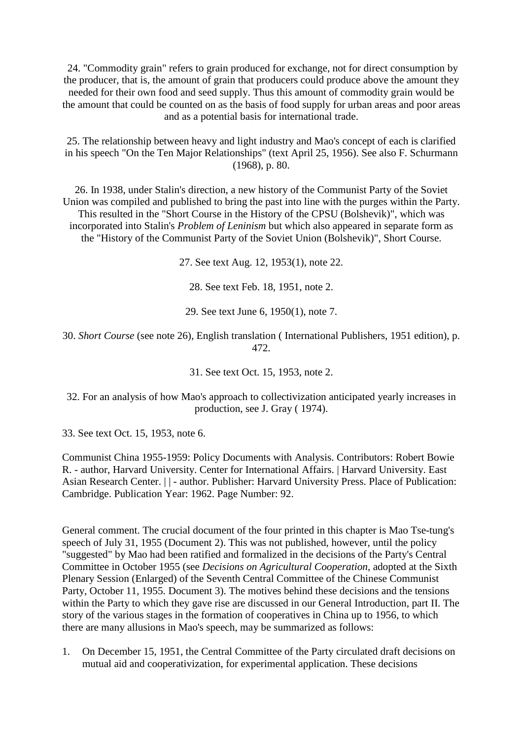24. "Commodity grain" refers to grain produced for exchange, not for direct consumption by the producer, that is, the amount of grain that producers could produce above the amount they needed for their own food and seed supply. Thus this amount of commodity grain would be the amount that could be counted on as the basis of food supply for urban areas and poor areas and as a potential basis for international trade.

25. The relationship between heavy and light industry and Mao's concept of each is clarified in his speech "On the Ten Major Relationships" (text April 25, 1956). See also F. Schurmann (1968), p. 80.

26. In 1938, under Stalin's direction, a new history of the Communist Party of the Soviet Union was compiled and published to bring the past into line with the purges within the Party. This resulted in the "Short Course in the History of the CPSU (Bolshevik)", which was incorporated into Stalin's *Problem of Leninism* but which also appeared in separate form as the "History of the Communist Party of the Soviet Union (Bolshevik)", Short Course.

27. See text Aug. 12, 1953(1), note 22.

28. See text Feb. 18, 1951, note 2.

29. See text June 6, 1950(1), note 7.

30. *Short Course* (see note 26), English translation ( International Publishers, 1951 edition), p. 472.

31. See text Oct. 15, 1953, note 2.

32. For an analysis of how Mao's approach to collectivization anticipated yearly increases in production, see J. Gray ( 1974).

33. See text Oct. 15, 1953, note 6.

Communist China 1955-1959: Policy Documents with Analysis. Contributors: Robert Bowie R. - author, Harvard University. Center for International Affairs. | Harvard University. East Asian Research Center. | | - author. Publisher: Harvard University Press. Place of Publication: Cambridge. Publication Year: 1962. Page Number: 92.

General comment. The crucial document of the four printed in this chapter is Mao Tse-tung's speech of July 31, 1955 (Document 2). This was not published, however, until the policy "suggested" by Mao had been ratified and formalized in the decisions of the Party's Central Committee in October 1955 (see *Decisions on Agricultural Cooperation*, adopted at the Sixth Plenary Session (Enlarged) of the Seventh Central Committee of the Chinese Communist Party, October 11, 1955. Document 3). The motives behind these decisions and the tensions within the Party to which they gave rise are discussed in our General Introduction, part II. The story of the various stages in the formation of cooperatives in China up to 1956, to which there are many allusions in Mao's speech, may be summarized as follows:

1. On December 15, 1951, the Central Committee of the Party circulated draft decisions on mutual aid and cooperativization, for experimental application. These decisions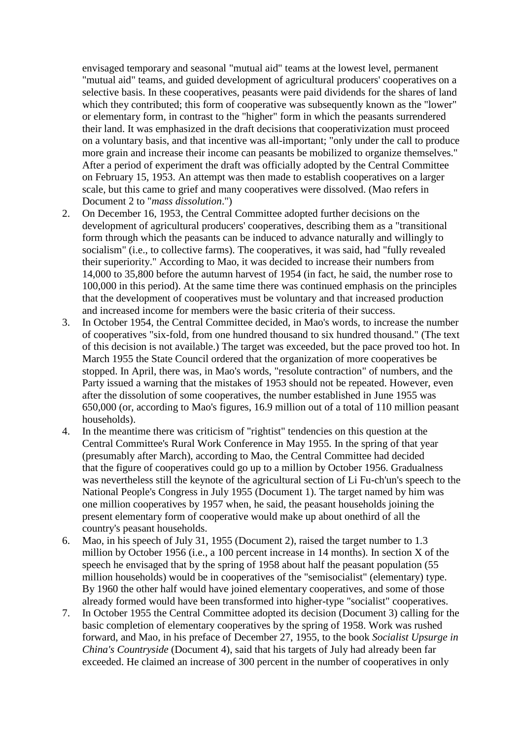envisaged temporary and seasonal "mutual aid" teams at the lowest level, permanent "mutual aid" teams, and guided development of agricultural producers' cooperatives on a selective basis. In these cooperatives, peasants were paid dividends for the shares of land which they contributed; this form of cooperative was subsequently known as the "lower" or elementary form, in contrast to the "higher" form in which the peasants surrendered their land. It was emphasized in the draft decisions that cooperativization must proceed on a voluntary basis, and that incentive was all-important; "only under the call to produce more grain and increase their income can peasants be mobilized to organize themselves." After a period of experiment the draft was officially adopted by the Central Committee on February 15, 1953. An attempt was then made to establish cooperatives on a larger scale, but this came to grief and many cooperatives were dissolved. (Mao refers in Document 2 to "*mass dissolution*.")

- 2. On December 16, 1953, the Central Committee adopted further decisions on the development of agricultural producers' cooperatives, describing them as a "transitional form through which the peasants can be induced to advance naturally and willingly to socialism" (i.e., to collective farms). The cooperatives, it was said, had "fully revealed their superiority." According to Mao, it was decided to increase their numbers from 14,000 to 35,800 before the autumn harvest of 1954 (in fact, he said, the number rose to 100,000 in this period). At the same time there was continued emphasis on the principles that the development of cooperatives must be voluntary and that increased production and increased income for members were the basic criteria of their success.
- 3. In October 1954, the Central Committee decided, in Mao's words, to increase the number of cooperatives "six-fold, from one hundred thousand to six hundred thousand." (The text of this decision is not available.) The target was exceeded, but the pace proved too hot. In March 1955 the State Council ordered that the organization of more cooperatives be stopped. In April, there was, in Mao's words, "resolute contraction" of numbers, and the Party issued a warning that the mistakes of 1953 should not be repeated. However, even after the dissolution of some cooperatives, the number established in June 1955 was 650,000 (or, according to Mao's figures, 16.9 million out of a total of 110 million peasant households).
- 4. In the meantime there was criticism of "rightist" tendencies on this question at the Central Committee's Rural Work Conference in May 1955. In the spring of that year (presumably after March), according to Mao, the Central Committee had decided that the figure of cooperatives could go up to a million by October 1956. Gradualness was nevertheless still the keynote of the agricultural section of Li Fu-ch'un's speech to the National People's Congress in July 1955 (Document 1). The target named by him was one million cooperatives by 1957 when, he said, the peasant households joining the present elementary form of cooperative would make up about onethird of all the country's peasant households.
- 6. Mao, in his speech of July 31, 1955 (Document 2), raised the target number to 1.3 million by October 1956 (i.e., a 100 percent increase in 14 months). In section X of the speech he envisaged that by the spring of 1958 about half the peasant population (55 million households) would be in cooperatives of the "semisocialist" (elementary) type. By 1960 the other half would have joined elementary cooperatives, and some of those already formed would have been transformed into higher-type "socialist" cooperatives.
- 7. In October 1955 the Central Committee adopted its decision (Document 3) calling for the basic completion of elementary cooperatives by the spring of 1958. Work was rushed forward, and Mao, in his preface of December 27, 1955, to the book *Socialist Upsurge in China's Countryside* (Document 4), said that his targets of July had already been far exceeded. He claimed an increase of 300 percent in the number of cooperatives in only